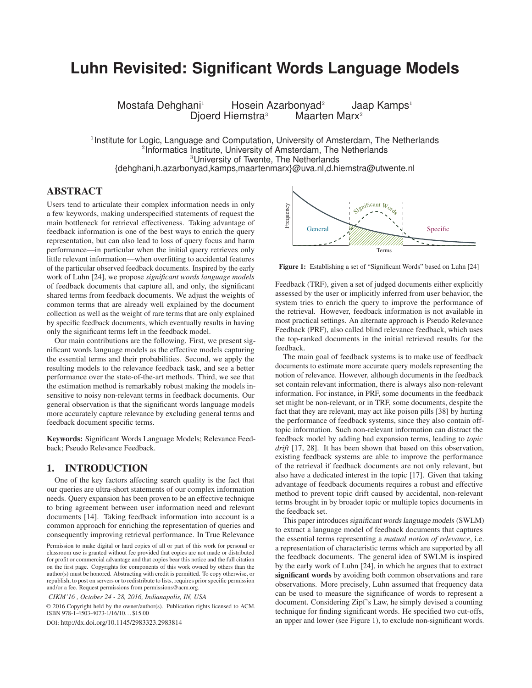# **Luhn Revisited: Significant Words Language Models**

Mostafa Dehghani<sup>1</sup> Hosein Azarbonyad<sup>2</sup> Jaap Kamps<sup>1</sup><br>Dioerd Hiemstra<sup>3</sup> Maarten Marx<sup>2</sup> Dioerd Hiemstra<sup>3</sup>

<sup>1</sup> Institute for Logic, Language and Computation, University of Amsterdam, The Netherlands <sup>2</sup>Informatics Institute, University of Amsterdam, The Netherlands <sup>3</sup>University of Twente, The Netherlands {dehghani,h.azarbonyad,kamps,maartenmarx}@uva.nl,d.hiemstra@utwente.nl

## ABSTRACT

Users tend to articulate their complex information needs in only a few keywords, making underspecified statements of request the main bottleneck for retrieval effectiveness. Taking advantage of feedback information is one of the best ways to enrich the query representation, but can also lead to loss of query focus and harm performance—in particular when the initial query retrieves only little relevant information—when overfitting to accidental features of the particular observed feedback documents. Inspired by the early work of Luhn [24], we propose *significant words language models* of feedback documents that capture all, and only, the significant shared terms from feedback documents. We adjust the weights of common terms that are already well explained by the document collection as well as the weight of rare terms that are only explained by specific feedback documents, which eventually results in having only the significant terms left in the feedback model.

Our main contributions are the following. First, we present significant words language models as the effective models capturing the essential terms and their probabilities. Second, we apply the resulting models to the relevance feedback task, and see a better performance over the state-of-the-art methods. Third, we see that the estimation method is remarkably robust making the models insensitive to noisy non-relevant terms in feedback documents. Our general observation is that the significant words language models more accurately capture relevance by excluding general terms and feedback document specific terms.

Keywords: Significant Words Language Models; Relevance Feedback; Pseudo Relevance Feedback.

# 1. INTRODUCTION

One of the key factors affecting search quality is the fact that our queries are ultra-short statements of our complex information needs. Query expansion has been proven to be an effective technique to bring agreement between user information need and relevant documents [14]. Taking feedback information into account is a common approach for enriching the representation of queries and consequently improving retrieval performance. In True Relevance

*CIKM'16 , October 24 - 28, 2016, Indianapolis, IN, USA*

© 2016 Copyright held by the owner/author(s). Publication rights licensed to ACM. ISBN 978-1-4503-4073-1/16/10. . . \$15.00

DOI: http://dx.doi.org/10.1145/2983323.2983814



Figure 1: Establishing a set of "Significant Words" based on Luhn [24]

Feedback (TRF), given a set of judged documents either explicitly assessed by the user or implicitly inferred from user behavior, the system tries to enrich the query to improve the performance of the retrieval. However, feedback information is not available in most practical settings. An alternate approach is Pseudo Relevance Feedback (PRF), also called blind relevance feedback, which uses the top-ranked documents in the initial retrieved results for the feedback.

The main goal of feedback systems is to make use of feedback documents to estimate more accurate query models representing the notion of relevance. However, although documents in the feedback set contain relevant information, there is always also non-relevant information. For instance, in PRF, some documents in the feedback set might be non-relevant, or in TRF, some documents, despite the fact that they are relevant, may act like poison pills [38] by hurting the performance of feedback systems, since they also contain offtopic information. Such non-relevant information can distract the feedback model by adding bad expansion terms, leading to *topic drift* [17, 28]. It has been shown that based on this observation, existing feedback systems are able to improve the performance of the retrieval if feedback documents are not only relevant, but also have a dedicated interest in the topic [17]. Given that taking advantage of feedback documents requires a robust and effective method to prevent topic drift caused by accidental, non-relevant terms brought in by broader topic or multiple topics documents in the feedback set.

This paper introduces*significant words language models* (SWLM) to extract a language model of feedback documents that captures the essential terms representing a *mutual notion of relevance*, i.e. a representation of characteristic terms which are supported by all the feedback documents. The general idea of SWLM is inspired by the early work of Luhn [24], in which he argues that to extract significant words by avoiding both common observations and rare observations. More precisely, Luhn assumed that frequency data can be used to measure the significance of words to represent a document. Considering Zipf's Law, he simply devised a counting technique for finding significant words. He specified two cut-offs, an upper and lower (see Figure 1), to exclude non-significant words.

Permission to make digital or hard copies of all or part of this work for personal or classroom use is granted without fee provided that copies are not made or distributed for profit or commercial advantage and that copies bear this notice and the full citation on the first page. Copyrights for components of this work owned by others than the author(s) must be honored. Abstracting with credit is permitted. To copy otherwise, or republish, to post on servers or to redistribute to lists, requires prior specific permission and/or a fee. Request permissions from permissions@acm.org.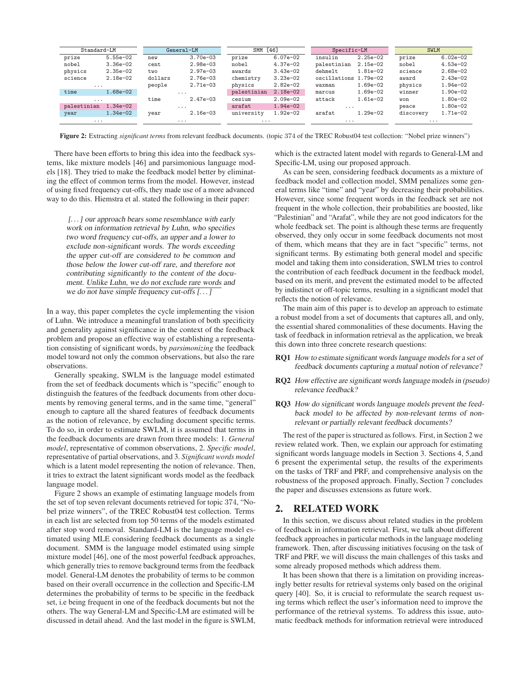| Standard-LM |            |         | General-LM   |             | SMM [46]   |                         | Specific-LM |           | <b>SWLM</b> |  |
|-------------|------------|---------|--------------|-------------|------------|-------------------------|-------------|-----------|-------------|--|
| prize       | $5.55e-02$ | new     | $3.70e - 03$ | prize       | $6.07e-02$ | insulin                 | $2.25e-02$  | prize     | $6.02e-02$  |  |
| nobel       | $3.36e-02$ | cent    | $2.98e-03$   | nobel       | $4.37e-02$ | palestinian             | $2.15e-02$  | nobel     | $4.53e-02$  |  |
| physics     | $2.35e-02$ | two     | $2.97e-03$   | awards      | $3.43e-02$ | dehmelt                 | $1.81e-02$  | science   | $2.68e-02$  |  |
| science     | $2.18e-02$ | dollars | $2.76e-03$   | chemistry   | $3.23e-02$ | oscillations 1.79e-02   |             | award     | $2.43e-02$  |  |
|             | $\cdots$   | people  | $2.71e-03$   | physics     | $2.82e-02$ | waxman                  | $1.69e-02$  | physics   | $1.94e-02$  |  |
| time        | $1.68e-02$ |         | $\cdots$     | palestinian | $2.18e-02$ | marcus                  | $1.69e-02$  | winner    | $1.90e-02$  |  |
|             | $\cdots$   | time    | $2.47e-03$   | cesium      | $2.09e-02$ | attack                  | $1.61e-02$  | won       | $1.80e-02$  |  |
| palestinian | $1.34e-02$ |         | $\cdots$     | arafat      | $1.94e-02$ | $\cdot$ $\cdot$ $\cdot$ |             | peace     | $1.80e-02$  |  |
| year        | $1.34e-02$ | year    | $2.16e-03$   | university  | $1.92e-02$ | arafat                  | $1.29e-02$  | discovery | 1.71e-02    |  |
| $\cdots$    |            |         | $\cdots$     | $\cdots$    |            | $\cdots$                |             | $\cdots$  |             |  |

Figure 2: Extracting *significant terms* from relevant feedback documents. (topic 374 of the TREC Robust04 test collection: "Nobel prize winners")

There have been efforts to bring this idea into the feedback systems, like mixture models [46] and parsimonious language models [18]. They tried to make the feedback model better by eliminating the effect of common terms from the model. However, instead of using fixed frequency cut-offs, they made use of a more advanced way to do this. Hiemstra et al. stated the following in their paper:

*[. . . ] our approach bears some resemblance with early work on information retrieval by Luhn, who specifies two word frequency cut-offs, an upper and a lower to exclude non-significant words. The words exceeding the upper cut-off are considered to be common and those below the lower cut-off rare, and therefore not contributing significantly to the content of the document. Unlike Luhn, we do not exclude rare words and we do not have simple frequency cut-offs [...]*

In a way, this paper completes the cycle implementing the vision of Luhn. We introduce a meaningful translation of both specificity and generality against significance in the context of the feedback problem and propose an effective way of establishing a representation consisting of significant words, by *parsimonizing* the feedback model toward not only the common observations, but also the rare observations.

Generally speaking, SWLM is the language model estimated from the set of feedback documents which is "specific" enough to distinguish the features of the feedback documents from other documents by removing general terms, and in the same time, "general" enough to capture all the shared features of feedback documents as the notion of relevance, by excluding document specific terms. To do so, in order to estimate SWLM, it is assumed that terms in the feedback documents are drawn from three models: 1. *General model*, representative of common observations, 2. *Specific model*, representative of partial observations, and 3. *Significant words model* which is a latent model representing the notion of relevance. Then, it tries to extract the latent significant words model as the feedback language model.

Figure 2 shows an example of estimating language models from the set of top seven relevant documents retrieved for topic 374, "Nobel prize winners", of the TREC Robust04 test collection. Terms in each list are selected from top 50 terms of the models estimated after stop word removal. Standard-LM is the language model estimated using MLE considering feedback documents as a single document. SMM is the language model estimated using simple mixture model [46], one of the most powerful feedback approaches, which generally tries to remove background terms from the feedback model. General-LM denotes the probability of terms to be common based on their overall occurrence in the collection and Specific-LM determines the probability of terms to be specific in the feedback set, i.e being frequent in one of the feedback documents but not the others. The way General-LM and Specific-LM are estimated will be discussed in detail ahead. And the last model in the figure is SWLM, which is the extracted latent model with regards to General-LM and Specific-LM, using our proposed approach.

As can be seen, considering feedback documents as a mixture of feedback model and collection model, SMM penalizes some general terms like "time" and "year" by decreasing their probabilities. However, since some frequent words in the feedback set are not frequent in the whole collection, their probabilities are boosted, like "Palestinian" and "Arafat", while they are not good indicators for the whole feedback set. The point is although these terms are frequently observed, they only occur in some feedback documents not most of them, which means that they are in fact "specific" terms, not significant terms. By estimating both general model and specific model and taking them into consideration, SWLM tries to control the contribution of each feedback document in the feedback model, based on its merit, and prevent the estimated model to be affected by indistinct or off-topic terms, resulting in a significant model that reflects the notion of relevance.

The main aim of this paper is to develop an approach to estimate a robust model from a set of documents that captures all, and only, the essential shared commonalities of these documents. Having the task of feedback in information retrieval as the application, we break this down into three concrete research questions:

- RQ1 *How to estimate significant words language models for a set of feedback documents capturing a mutual notion of relevance?*
- RQ2 *How effective are significant words language models in (pseudo) relevance feedback?*
- RQ3 *How do significant words language models prevent the feedback model to be affected by non-relevant terms of nonrelevant or partially relevant feedback documents?*

The rest of the paper is structured as follows. First, in Section 2 we review related work. Then, we explain our approach for estimating significant words language models in Section 3. Sections 4, 5,and 6 present the experimental setup, the results of the experiments on the tasks of TRF and PRF, and comprehensive analysis on the robustness of the proposed approach. Finally, Section 7 concludes the paper and discusses extensions as future work.

## 2. RELATED WORK

In this section, we discuss about related studies in the problem of feedback in information retrieval. First, we talk about different feedback approaches in particular methods in the language modeling framework. Then, after discussing initiatives focusing on the task of TRF and PRF, we will discuss the main challenges of this tasks and some already proposed methods which address them.

It has been shown that there is a limitation on providing increasingly better results for retrieval systems only based on the original query [40]. So, it is crucial to reformulate the search request using terms which reflect the user's information need to improve the performance of the retrieval systems. To address this issue, automatic feedback methods for information retrieval were introduced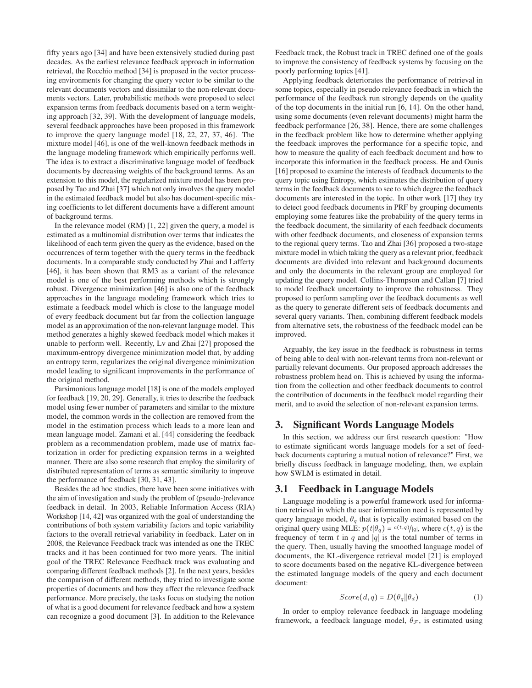fifty years ago [34] and have been extensively studied during past decades. As the earliest relevance feedback approach in information retrieval, the Rocchio method [34] is proposed in the vector processing environments for changing the query vector to be similar to the relevant documents vectors and dissimilar to the non-relevant documents vectors. Later, probabilistic methods were proposed to select expansion terms from feedback documents based on a term weighting approach [32, 39]. With the development of language models, several feedback approaches have been proposed in this framework to improve the query language model [18, 22, 27, 37, 46]. The mixture model [46], is one of the well-known feedback methods in the language modeling framework which empirically performs well. The idea is to extract a discriminative language model of feedback documents by decreasing weights of the background terms. As an extension to this model, the regularized mixture model has been proposed by Tao and Zhai [37] which not only involves the query model in the estimated feedback model but also has document-specific mixing coefficients to let different documents have a different amount of background terms.

In the relevance model (RM) [1, 22] given the query, a model is estimated as a multinomial distribution over terms that indicates the likelihood of each term given the query as the evidence, based on the occurrences of term together with the query terms in the feedback documents. In a comparable study conducted by Zhai and Lafferty [46], it has been shown that RM3 as a variant of the relevance model is one of the best performing methods which is strongly robust. Divergence minimization [46] is also one of the feedback approaches in the language modeling framework which tries to estimate a feedback model which is close to the language model of every feedback document but far from the collection language model as an approximation of the non-relevant language model. This method generates a highly skewed feedback model which makes it unable to perform well. Recently, Lv and Zhai [27] proposed the maximum-entropy divergence minimization model that, by adding an entropy term, regularizes the original divergence minimization model leading to significant improvements in the performance of the original method.

Parsimonious language model [18] is one of the models employed for feedback [19, 20, 29]. Generally, it tries to describe the feedback model using fewer number of parameters and similar to the mixture model, the common words in the collection are removed from the model in the estimation process which leads to a more lean and mean language model. Zamani et al. [44] considering the feedback problem as a recommendation problem, made use of matrix factorization in order for predicting expansion terms in a weighted manner. There are also some research that employ the similarity of distributed representation of terms as semantic similarity to improve the performance of feedback [30, 31, 43].

Besides the ad hoc studies, there have been some initiatives with the aim of investigation and study the problem of (pseudo-)relevance feedback in detail. In 2003, Reliable Information Access (RIA) Workshop [14, 42] was organized with the goal of understanding the contributions of both system variability factors and topic variability factors to the overall retrieval variability in feedback. Later on in 2008, the Relevance Feedback track was intended as one the TREC tracks and it has been continued for two more years. The initial goal of the TREC Relevance Feedback track was evaluating and comparing different feedback methods [2]. In the next years, besides the comparison of different methods, they tried to investigate some properties of documents and how they affect the relevance feedback performance. More precisely, the tasks focus on studying the notion of what is a good document for relevance feedback and how a system can recognize a good document [3]. In addition to the Relevance

Feedback track, the Robust track in TREC defined one of the goals to improve the consistency of feedback systems by focusing on the poorly performing topics [41].

Applying feedback deteriorates the performance of retrieval in some topics, especially in pseudo relevance feedback in which the performance of the feedback run strongly depends on the quality of the top documents in the initial run [6, 14]. On the other hand, using some documents (even relevant documents) might harm the feedback performance [26, 38]. Hence, there are some challenges in the feedback problem like how to determine whether applying the feedback improves the performance for a specific topic, and how to measure the quality of each feedback document and how to incorporate this information in the feedback process. He and Ounis [16] proposed to examine the interests of feedback documents to the query topic using Entropy, which estimates the distribution of query terms in the feedback documents to see to which degree the feedback documents are interested in the topic. In other work [17] they try to detect good feedback documents in PRF by grouping documents employing some features like the probability of the query terms in the feedback document, the similarity of each feedback documents with other feedback documents, and closeness of expansion terms to the regional query terms. Tao and Zhai [36] proposed a two-stage mixture model in which taking the query as a relevant prior, feedback documents are divided into relevant and background documents and only the documents in the relevant group are employed for updating the query model. Collins-Thompson and Callan [7] tried to model feedback uncertainty to improve the robustness. They proposed to perform sampling over the feedback documents as well as the query to generate different sets of feedback documents and several query variants. Then, combining different feedback models from alternative sets, the robustness of the feedback model can be improved.

Arguably, the key issue in the feedback is robustness in terms of being able to deal with non-relevant terms from non-relevant or partially relevant documents. Our proposed approach addresses the robustness problem head on. This is achieved by using the information from the collection and other feedback documents to control the contribution of documents in the feedback model regarding their merit, and to avoid the selection of non-relevant expansion terms.

## 3. Significant Words Language Models

In this section, we address our first research question: "How to estimate significant words language models for a set of feedback documents capturing a mutual notion of relevance?" First, we briefly discuss feedback in language modeling, then, we explain how SWLM is estimated in detail.

#### 3.1 Feedback in Language Models

Language modeling is a powerful framework used for information retrieval in which the user information need is represented by query language model,  $\theta_q$  that is typically estimated based on the original query using MLE:  $p(t|\theta_q) = c(t,q)/|q|$ , where  $c(t,q)$  is the frequency of term t in q and |q| is the total number of terms in the query. Then, usually having the smoothed language model of documents, the KL-divergence retrieval model [21] is employed to score documents based on the negative KL-divergence between the estimated language models of the query and each document document:

$$
Score(d,q) = D(\theta_q || \theta_d)
$$
 (1)

In order to employ relevance feedback in language modeling framework, a feedback language model,  $\theta_{\mathcal{F}}$ , is estimated using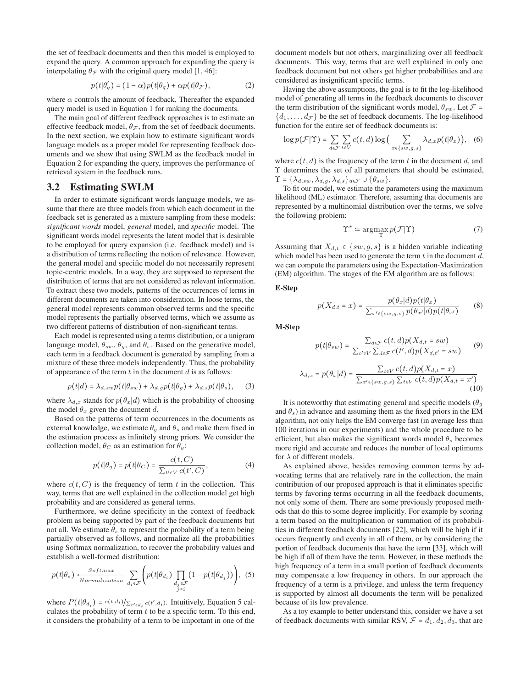the set of feedback documents and then this model is employed to expand the query. A common approach for expanding the query is interpolating  $\theta_{\mathcal{F}}$  with the original query model [1, 46]:

$$
p(t|\theta'_q) = (1-\alpha)p(t|\theta_q) + \alpha p(t|\theta_{\mathcal{F}}), \tag{2}
$$

where  $\alpha$  controls the amount of feedback. Thereafter the expanded query model is used in Equation 1 for ranking the documents.

The main goal of different feedback approaches is to estimate an effective feedback model,  $\theta_{\mathcal{F}}$ , from the set of feedback documents. In the next section, we explain how to estimate significant words language models as a proper model for representing feedback documents and we show that using SWLM as the feedback model in Equation 2 for expanding the query, improves the performance of retrieval system in the feedback runs.

## 3.2 Estimating SWLM

In order to estimate significant words language models, we assume that there are three models from which each document in the feedback set is generated as a mixture sampling from these models: *significant words* model, *general* model, and *specific* model. The significant words model represents the latent model that is desirable to be employed for query expansion (i.e. feedback model) and is a distribution of terms reflecting the notion of relevance. However, the general model and specific model do not necessarily represent topic-centric models. In a way, they are supposed to represent the distribution of terms that are not considered as relevant information. To extract these two models, patterns of the occurrences of terms in different documents are taken into consideration. In loose terms, the general model represents common observed terms and the specific model represents the partially observed terms, which we assume as two different patterns of distribution of non-significant terms.

Each model is represented using a terms distribution, or a unigram language model,  $\theta_{sw}$ ,  $\theta_q$ , and  $\theta_s$ . Based on the generative model, each term in a feedback document is generated by sampling from a mixture of these three models independently. Thus, the probability of appearance of the term  $t$  in the document  $d$  is as follows:

$$
p(t|d) = \lambda_{d,sw} p(t|\theta_{sw}) + \lambda_{d,g} p(t|\theta_g) + \lambda_{d,s} p(t|\theta_s), \quad (3)
$$

where  $\lambda_{d,x}$  stands for  $p(\theta_x|d)$  which is the probability of choosing the model  $\theta_x$  given the document d.

Based on the patterns of term occurrences in the documents as external knowledge, we estimate  $\theta_g$  and  $\theta_s$  and make them fixed in the estimation process as infinitely strong priors. We consider the collection model,  $\theta_C$  as an estimation for  $\theta_a$ :

$$
p(t|\theta_g) = p(t|\theta_C) = \frac{c(t,C)}{\sum_{t' \in V} c(t',C)},\tag{4}
$$

where  $c(t, C)$  is the frequency of term t in the collection. This way, terms that are well explained in the collection model get high probability and are considered as general terms.

Furthermore, we define specificity in the context of feedback problem as being supported by part of the feedback documents but not all. We estimate  $\theta_s$  to represent the probability of a term being partially observed as follows, and normalize all the probabilities using Softmax normalization, to recover the probability values and establish a well-formed distribution:

$$
p(t|\theta_s) \xleftarrow[Softmax]{Softmax} \sum_{d_i \in \mathcal{F}} \left( p(t|\theta_{d_i}) \prod_{\substack{d_j \in \mathcal{F} \\ j \neq i}} \left( 1 - p(t|\theta_{d_j}) \right) \right), \tag{5}
$$

where  $P(t|\theta_{d_i}) = c(t,d_i)/\sum_{t' \in d_i} c(t',d_i)$ . Intuitively, Equation 5 calculates the probability of term  $t$  to be a specific term. To this end, it considers the probability of a term to be important in one of the document models but not others, marginalizing over all feedback documents. This way, terms that are well explained in only one feedback document but not others get higher probabilities and are considered as insignificant specific terms.

Having the above assumptions, the goal is to fit the log-likelihood model of generating all terms in the feedback documents to discover the term distribution of the significant words model,  $\theta_{sw}$ . Let  $\mathcal{F}$  =  $\{d_1,\ldots,d_{\mathcal{F}}\}$  be the set of feedback documents. The log-likelihood function for the entire set of feedback documents is:

$$
\log p(\mathcal{F}|\Upsilon) = \sum_{d \in \mathcal{F}} \sum_{t \in V} c(t, d) \log \Big( \sum_{x \in \{sw, g, s\}} \lambda_{d, x} p(t | \theta_x) \Big), \quad (6)
$$

where  $c(t, d)$  is the frequency of the term t in the document d, and <sup>Υ</sup> determines the set of all parameters that should be estimated,  $\Upsilon = \{\lambda_{d,sw}, \lambda_{d,g}, \lambda_{d,s}\}_{d \in \mathcal{F}} \cup \{\theta_{sw}\}.$ 

To fit our model, we estimate the parameters using the maximum likelihood (ML) estimator. Therefore, assuming that documents are represented by a multinomial distribution over the terms, we solve the following problem:

$$
\Upsilon^* \coloneqq \operatorname*{argmax}_{\Upsilon} p(\mathcal{F}|\Upsilon) \tag{7}
$$

Assuming that  $X_{d,t} \in \{sw, g, s\}$  is a hidden variable indicating which model has been used to generate the term  $t$  in the document  $d$ , we can compute the parameters using the Expectation-Maximization (EM) algorithm. The stages of the EM algorithm are as follows:

E-Step

$$
p(X_{d,t} = x) = \frac{p(\theta_x|d)p(t|\theta_x)}{\sum_{x' \in \{sw, g, s\}} p(\theta_{x'}|d)p(t|\theta_{x'})}
$$
(8)

M-Step

$$
p(t|\theta_{sw}) = \frac{\sum_{d \in \mathcal{F}} c(t,d) p(X_{d,t} = sw)}{\sum_{t' \in V} \sum_{d \in \mathcal{F}} c(t',d) p(X_{d,t'} = sw)}
$$
(9)

$$
\lambda_{d,x} = p(\theta_x|d) = \frac{\sum_{t \in V} c(t,d)p(X_{d,t} = x)}{\sum_{x' \in \{sw,g,s\}} \sum_{t \in V} c(t,d)p(X_{d,t} = x')} \tag{10}
$$

It is noteworthy that estimating general and specific models  $(\theta_g)$ and  $\theta_s$ ) in advance and assuming them as the fixed priors in the EM algorithm, not only helps the EM converge fast (in average less than 100 iterations in our experiments) and the whole procedure to be efficient, but also makes the significant words model  $\theta_s$  becomes more rigid and accurate and reduces the number of local optimums for  $\lambda$  of different models.

As explained above, besides removing common terms by advocating terms that are relatively rare in the collection, the main contribution of our proposed approach is that it eliminates specific terms by favoring terms occurring in all the feedback documents, not only some of them. There are some previously proposed methods that do this to some degree implicitly. For example by scoring a term based on the multiplication or summation of its probabilities in different feedback documents [22], which will be high if it occurs frequently and evenly in all of them, or by considering the portion of feedback documents that have the term [33], which will be high if all of them have the term. However, in these methods the high frequency of a term in a small portion of feedback documents may compensate a low frequency in others. In our approach the frequency of a term is a privilege, and unless the term frequency is supported by almost all documents the term will be penalized because of its low prevalence.

As a toy example to better understand this, consider we have a set of feedback documents with similar RSV,  $\mathcal{F} = d_1, d_2, d_3$ , that are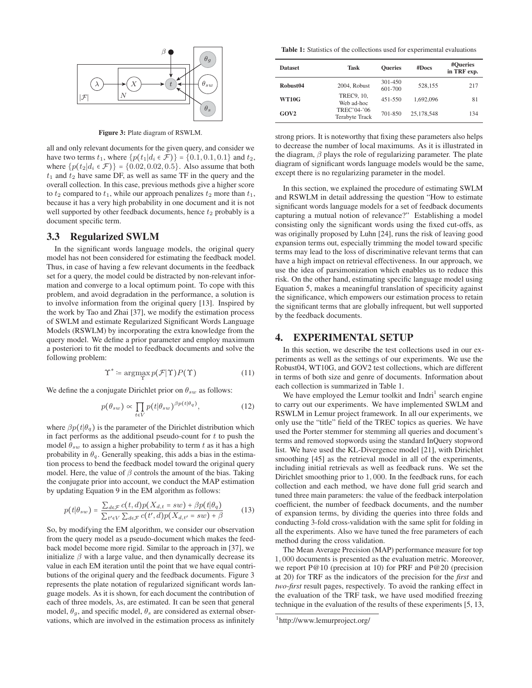

Figure 3: Plate diagram of RSWLM.

all and only relevant documents for the given query, and consider we have two terms  $t_1$ , where  $\{p(t_1|d_i \in \mathcal{F})\} = \{0.1, 0.1, 0.1\}$  and  $t_2$ , where  $\{p(t_2|d_i \in \mathcal{F})\}$  = {0.02, 0.02, 0.5}. Also assume that both  $t_1$  and  $t_2$  have same DF, as well as same TF in the query and the overall collection. In this case, previous methods give a higher score to  $t_2$  compared to  $t_1$ , while our approach penalizes  $t_2$  more than  $t_1$ , because it has a very high probability in one document and it is not well supported by other feedback documents, hence  $t_2$  probably is a document specific term.

#### 3.3 Regularized SWLM

In the significant words language models, the original query model has not been considered for estimating the feedback model. Thus, in case of having a few relevant documents in the feedback set for a query, the model could be distracted by non-relevant information and converge to a local optimum point. To cope with this problem, and avoid degradation in the performance, a solution is to involve information from the original query [13]. Inspired by the work by Tao and Zhai [37], we modify the estimation process of SWLM and estimate Regularized Significant Words Language Models (RSWLM) by incorporating the extra knowledge from the query model. We define a prior parameter and employ maximum a posteriori to fit the model to feedback documents and solve the following problem:

$$
\Upsilon^* \coloneqq \operatorname*{argmax}_{\Upsilon} p(\mathcal{F}|\Upsilon) P(\Upsilon) \tag{11}
$$

We define the a conjugate Dirichlet prior on  $\theta_{sw}$  as follows:

$$
p(\theta_{sw}) \propto \prod_{t \in V} p(t|\theta_{sw})^{\beta p(t|\theta_q)}, \qquad (12)
$$

where  $\beta p(t|\theta_q)$  is the parameter of the Dirichlet distribution which in fact performs as the additional pseudo-count for  $t$  to push the model  $\theta_{sw}$  to assign a higher probability to term t as it has a high probability in  $\theta_q$ . Generally speaking, this adds a bias in the estimation process to bend the feedback model toward the original query model. Here, the value of  $\beta$  controls the amount of the bias. Taking the conjugate prior into account, we conduct the MAP estimation by updating Equation 9 in the EM algorithm as follows:

$$
p(t|\theta_{sw}) = \frac{\sum_{d \in \mathcal{F}} c(t,d) p(X_{d,t} = sw) + \beta p(t|\theta_q)}{\sum_{t' \in V} \sum_{d \in \mathcal{F}} c(t',d) p(X_{d,t'} = sw) + \beta}
$$
(13)

So, by modifying the EM algorithm, we consider our observation from the query model as a pseudo-document which makes the feedback model become more rigid. Similar to the approach in [37], we initialize  $\beta$  with a large value, and then dynamically decrease its value in each EM iteration until the point that we have equal contributions of the original query and the feedback documents. Figure 3 represents the plate notation of regularized significant words language models. As it is shown, for each document the contribution of each of three models,  $\lambda$ s, are estimated. It can be seen that general model,  $\theta_{q}$ , and specific model,  $\theta_{s}$  are considered as external observations, which are involved in the estimation process as infinitely

Table 1: Statistics of the collections used for experimental evaluations

| <b>Dataset</b>   | <b>Task</b>                          |                    | #Docs      | #Oueries<br>in TRF exp. |  |
|------------------|--------------------------------------|--------------------|------------|-------------------------|--|
| Robust04         | 2004, Robust                         | 301-450<br>601-700 | 528,155    | 217                     |  |
| <b>WT10G</b>     | <b>TREC9, 10,</b><br>Web ad-hoc      | $451 - 550$        | 1.692.096  | 81                      |  |
| GOV <sub>2</sub> | TREC'04-'06<br><b>Terabyte Track</b> | 701-850            | 25.178.548 | 134                     |  |

strong priors. It is noteworthy that fixing these parameters also helps to decrease the number of local maximums. As it is illustrated in the diagram,  $\beta$  plays the role of regularizing parameter. The plate diagram of significant words language models would be the same, except there is no regularizing parameter in the model.

In this section, we explained the procedure of estimating SWLM and RSWLM in detail addressing the question "How to estimate significant words language models for a set of feedback documents capturing a mutual notion of relevance?" Establishing a model consisting only the significant words using the fixed cut-offs, as was originally proposed by Luhn [24], runs the risk of leaving good expansion terms out, especially trimming the model toward specific terms may lead to the loss of discriminative relevant terms that can have a high impact on retrieval effectiveness. In our approach, we use the idea of parsimonization which enables us to reduce this risk. On the other hand, estimating specific language model using Equation 5, makes a meaningful translation of specificity against the significance, which empowers our estimation process to retain the significant terms that are globally infrequent, but well supported by the feedback documents.

## 4. EXPERIMENTAL SETUP

In this section, we describe the test collections used in our experiments as well as the settings of our experiments. We use the Robust04, WT10G, and GOV2 test collections, which are different in terms of both size and genre of documents. Information about each collection is summarized in Table 1.

We have employed the Lemur toolkit and  $Indri<sup>1</sup>$  search engine to carry out our experiments. We have implemented SWLM and RSWLM in Lemur project framework. In all our experiments, we only use the "title" field of the TREC topics as queries. We have used the Porter stemmer for stemming all queries and document's terms and removed stopwords using the standard InQuery stopword list. We have used the KL-Divergence model [21], with Dirichlet smoothing [45] as the retrieval model in all of the experiments, including initial retrievals as well as feedback runs. We set the Dirichlet smoothing prior to 1, 000. In the feedback runs, for each collection and each method, we have done full grid search and tuned three main parameters: the value of the feedback interpolation coefficient, the number of feedback documents, and the number of expansion terms, by dividing the queries into three folds and conducting 3-fold cross-validation with the same split for folding in all the experiments. Also we have tuned the free parameters of each method during the cross validation.

The Mean Average Precision (MAP) performance measure for top 1, 000 documents is presented as the evaluation metric. Moreover, we report P@10 (precision at 10) for PRF and P@20 (precision at 20) for TRF as the indicators of the precision for the *first* and *two-first* result pages, respectively. To avoid the ranking effect in the evaluation of the TRF task, we have used modified freezing technique in the evaluation of the results of these experiments [5, 13,

<sup>1</sup> http://www.lemurproject.org/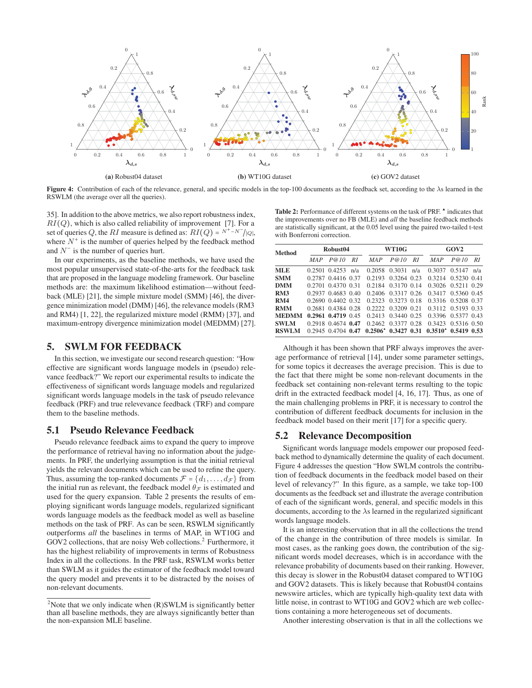

Figure 4: Contribution of each of the relevance, general, and specific models in the top-100 documents as the feedback set, according to the λs learned in the RSWLM (the average over all the queries).

35]. In addition to the above metrics, we also report robustness index,  $RI(Q)$ , which is also called reliability of improvement [7]. For a set of queries Q, the RI measure is defined as:  $RI(Q) = N^{+N^{-}}/|Q|$ , where  $N^+$  is the number of queries helped by the feedback method and  $N^-$  is the number of queries hurt.

In our experiments, as the baseline methods, we have used the most popular unsupervised state-of-the-arts for the feedback task that are proposed in the language modeling framework. Our baseline methods are: the maximum likelihood estimation—without feedback (MLE) [21], the simple mixture model (SMM) [46], the divergence minimization model (DMM) [46], the relevance models (RM3 and RM4) [1, 22], the regularized mixture model (RMM) [37], and maximum-entropy divergence minimization model (MEDMM) [27].

## 5. SWLM FOR FEEDBACK

In this section, we investigate our second research question: "How effective are significant words language models in (pseudo) relevance feedback?" We report our experimental results to indicate the effectiveness of significant words language models and regularized significant words language models in the task of pseudo relevance feedback (PRF) and true relevevance feedback (TRF) and compare them to the baseline methods.

#### 5.1 Pseudo Relevance Feedback

Pseudo relevance feedback aims to expand the query to improve the performance of retrieval having no information about the judgements. In PRF, the underlying assumption is that the initial retrieval yields the relevant documents which can be used to refine the query. Thus, assuming the top-ranked documents  $\mathcal{F}={d_1,\ldots,d_{\mathcal{F}}}$  from the initial run as relevant, the feedback model  $\theta_{\mathcal{F}}$  is estimated and used for the query expansion. Table 2 presents the results of employing significant words language models, regularized significant words language models as the feedback model as well as baseline methods on the task of PRF. As can be seen, RSWLM significantly outperforms *all* the baselines in terms of MAP, in WT10G and GOV2 collections, that are noisy Web collections.<sup>2</sup> Furthermore, it has the highest reliability of improvements in terms of Robustness Index in all the collections. In the PRF task, RSWLM works better than SWLM as it guides the estimator of the feedback model toward the query model and prevents it to be distracted by the noises of non-relevant documents.

Table 2: Performance of different systems on the task of PRF.  $\triangle$  indicates that the improvements over no FB (MLE) and *all* the baseline feedback methods are statistically significant, at the 0.05 level using the paired two-tailed t-test with Bonferroni correction.

| <b>Method</b> |            | Robust <sub>04</sub>     |    |                                       | <b>WT10G</b>            |    | GOV <sub>2</sub>          |                       |    |
|---------------|------------|--------------------------|----|---------------------------------------|-------------------------|----|---------------------------|-----------------------|----|
|               | <b>MAP</b> | P@10                     | RI | <b>MAP</b>                            | P@10                    | RI | <b>MAP</b>                | P@10                  | RI |
| <b>MLE</b>    |            | $0.2501$ $0.4253$ $n/a$  |    |                                       | $0.2058$ $0.3031$ $n/a$ |    |                           | $0.3037$ $0.5147$ n/a |    |
| <b>SMM</b>    |            | 0.2787 0.4416 0.37       |    | 0.2193 0.3264 0.23                    |                         |    |                           | 0.3214 0.5230 0.41    |    |
| <b>DMM</b>    |            | 0.2701 0.4370 0.31       |    |                                       | 0.2184 0.3170 0.14      |    |                           | 0.3026 0.5211 0.29    |    |
| RM3           |            | 0.2937 0.4683 0.40       |    |                                       | 0.2406 0.3317 0.26      |    |                           | 0.3417 0.5360 0.45    |    |
| RM4           |            | 0.2690 0.4402 0.32       |    | 0.2323 0.3273 0.18                    |                         |    |                           | 0.3316 0.5208 0.37    |    |
| <b>RMM</b>    |            | 0.2681 0.4384 0.28       |    |                                       | 0.2222 0.3209 0.21      |    |                           | 0.3112 0.5193 0.33    |    |
| <b>MEDMM</b>  |            | $0.2961$ $0.4719$ $0.45$ |    |                                       | 0.2413 0.3440 0.25      |    |                           | 0.3396 0.5377 0.43    |    |
| <b>SWLM</b>   |            | 0.2918 0.4674 0.47       |    | 0.2462 0.3377 0.28                    |                         |    |                           | 0.3423 0.5316 0.50    |    |
| <b>RSWLM</b>  |            | $0.2945$ $0.4704$ $0.47$ |    | $0.2506$ <sup>*</sup> $0.3427$ $0.31$ |                         |    | $0.35104$ $0.5419$ $0.53$ |                       |    |

Although it has been shown that PRF always improves the average performance of retrieval [14], under some parameter settings, for some topics it decreases the average precision. This is due to the fact that there might be some non-relevant documents in the feedback set containing non-relevant terms resulting to the topic drift in the extracted feedback model [4, 16, 17]. Thus, as one of the main challenging problems in PRF, it is necessary to control the contribution of different feedback documents for inclusion in the feedback model based on their merit [17] for a specific query.

## 5.2 Relevance Decomposition

Significant words language models empower our proposed feedback method to dynamically determine the quality of each document. Figure 4 addresses the question "How SWLM controls the contribution of feedback documents in the feedback model based on their level of relevancy?" In this figure, as a sample, we take top-100 documents as the feedback set and illustrate the average contribution of each of the significant words, general, and specific models in this documents, according to the  $\lambda$ s learned in the regularized significant words language models.

It is an interesting observation that in all the collections the trend of the change in the contribution of three models is similar. In most cases, as the ranking goes down, the contribution of the significant words model decreases, which is in accordance with the relevance probability of documents based on their ranking. However, this decay is slower in the Robust04 dataset compared to WT10G and GOV2 datasets. This is likely because that Robust04 contains newswire articles, which are typically high-quality text data with little noise, in contrast to WT10G and GOV2 which are web collections containing a more heterogeneous set of documents.

Another interesting observation is that in all the collections we

<sup>&</sup>lt;sup>2</sup>Note that we only indicate when  $(R)$ SWLM is significantly better than all baseline methods, they are always significantly better than the non-expansion MLE baseline.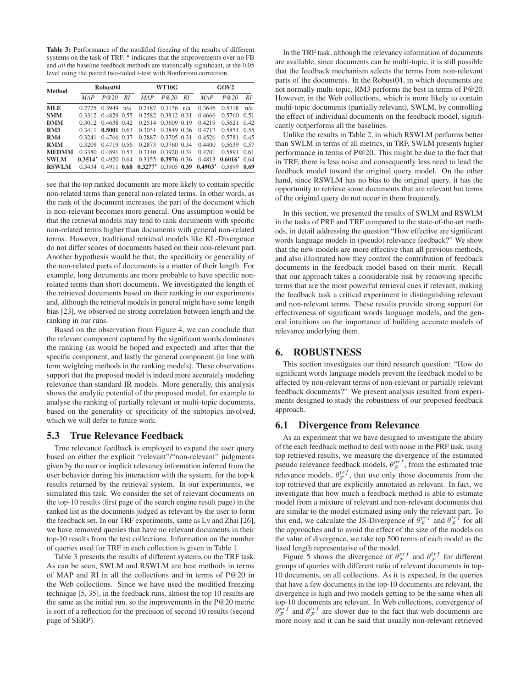Table 3: Performance of the modified freezing of the results of different systems on the task of TRF.  $\triangle$  indicates that the improvements over no FB and *all* the baseline feedback methods are statistically significant, at the 0.05 level using the paired two-tailed t-test with Bonferroni correction.

| <b>Method</b> |                       | Robust04        |     | WT10G                        |                      |     | GOV2       |            |      |
|---------------|-----------------------|-----------------|-----|------------------------------|----------------------|-----|------------|------------|------|
|               | <b>MAP</b>            | P@20            | RI  | <b>MAP</b>                   | P@20                 | RI  | <b>MAP</b> | P@20       | RI   |
| <b>MLE</b>    | 0.2725                | 0.3949          | n/a | 0.2487                       | 0.3136               | n/a | 0.3646     | 0.5318     | n/a  |
| <b>SMM</b>    | 0.3312                | 0.4829 0.55     |     | 0.2582                       | 0.3812 0.31          |     | 0.4666     | 0.5760     | 0.51 |
| <b>DMM</b>    | 0.3012                | 0.4638 0.42     |     | 0.2514                       | $0.3609$ $0.19$      |     | 0.4219     | 0.5621     | 0.42 |
| RM3           | 0.3411                | $0.5001$ 0.63   |     | 0.3031                       | 0.3849 0.36          |     | 0.4717     | 0.5851     | 0.55 |
| RM4           | 0.3241                | 0.4766 0.37     |     | 0.2887                       | 0.3705 0.31          |     | 0.4526     | 0.5781     | 0.45 |
| <b>RMM</b>    | 0.3209                | 0.4719 0.56     |     | 0.2873                       | 0.3760 0.34          |     | 0.4400     | 0.5639     | 0.57 |
| <b>MEDMM</b>  | 0.3380                | 0.4891 0.53     |     | 0.3140                       | $0.3920$ $0.34$      |     | 0.4701     | 0.5891     | 0.61 |
| <b>SWLM</b>   | $0.3514$ <sup>*</sup> | $0.4920$ $0.64$ |     |                              | $0.3155$ 0.3976 0.36 |     | 0.4813     | $0.6016^*$ | 0.64 |
| <b>RSWLM</b>  | 0.3434                | $0.4911$ 0.68   |     | $0.3277^{\star}$ 0.3905 0.39 |                      |     | $0.4903^*$ | 0.5899     | 0.69 |

see that the top ranked documents are more likely to contain specific non-related terms than general non-related terms. In other words, as the rank of the document increases, the part of the document which is non-relevant becomes more general. One assumption would be that the retrieval models may tend to rank documents with specific non-related terms higher than documents with general non-related terms. However, traditional retrieval models like KL-Divergence do not differ scores of documents based on their non-relevant part. Another hypothesis would be that, the specificity or generality of the non-related parts of documents is a matter of their length. For example, long documents are more probable to have specific nonrelated terms than short documents. We investigated the length of the retrieved documents based on their ranking in our experiments and, although the retrieval models in general might have some length bias [23], we observed no strong correlation between length and the ranking in our runs.

Based on the observation from Figure 4, we can conclude that the relevant component captured by the significant words dominates the ranking (as would be hoped and expected) and after that the specific component, and lastly the general component (in line with term weighting methods in the ranking models). These observations support that the proposed model is indeed more accurately modeling relevance than standard IR models. More generally, this analysis shows the analytic potential of the proposed model, for example to analyse the ranking of partially relevant or multi-topic documents, based on the generality or specificity of the subtopics involved, which we will defer to future work.

## 5.3 True Relevance Feedback

True relevance feedback is employed to expand the user query based on either the explicit "relevant"/"non-relevant" judgments given by the user or implicit relevancy information inferred from the user behavior during his interaction with the system, for the top-k results returned by the retrieval system. In our experiments, we simulated this task. We consider the set of relevant documents on the top-10 results (first page of the search engine result page) in the ranked list as the documents judged as relevant by the user to form the feedback set. In our TRF experiments, same as Lv and Zhai [26], we have removed queries that have no relevant documents in their top-10 results from the test collections. Information on the number of queries used for TRF in each collection is given in Table 1.

Table 3 presents the results of different systems on the TRF task. As can be seen, SWLM and RSWLM are best methods in terms of MAP and RI in all the collections and in terms of P@20 in the Web collections. Since we have used the modified freezing technique [5, 35], in the feedback runs, almost the top 10 results are the same as the initial run, so the improvements in the P@20 metric is sort of a reflection for the precision of second 10 results (second page of SERP).

In the TRF task, although the relevancy information of documents are available, since documents can be multi-topic, it is still possible that the feedback mechanism selects the terms from non-relevant parts of the documents. In the Robust04, in which documents are not normally multi-topic, RM3 performs the best in terms of P@20. However, in the Web collections, which is more likely to contain multi-topic documents (partially relevant), SWLM, by controlling the effect of individual documents on the feedback model, significantly outperforms all the baselines.

Unlike the results in Table 2, in which RSWLM performs better than SWLM in terms of all metrics, in TRF, SWLM presents higher performance in terms of P@20. This might be due to the fact that in TRF, there is less noise and consequently less need to lead the feedback model toward the original query model. On the other hand, since RSWLM has no bias to the original query, it has the opportunity to retrieve some documents that are relevant but terms of the original query do not occur in them frequently.

In this section, we presented the results of SWLM and RSWLM in the tasks of PRF and TRF compared to the state-of-the-art methods, in detail addressing the question "How effective are significant words language models in (pseudo) relevance feedback?" We show that the new models are more effective than all previous methods, and also illustrated how they control the contribution of feedback documents in the feedback model based on their merit. Recall that our approach takes a considerable risk by removing specific terms that are the most powerful retrieval cues if relevant, making the feedback task a critical experiment in distinguishing relevant and non-relevant terms. These results provide strong support for effectiveness of significant words language models, and the general intuitions on the importance of building accurate models of relevance underlying them.

## 6. ROBUSTNESS

This section investigates our third research question: "How do significant words language models prevent the feedback model to be affected by non-relevant terms of non-relevant or partially relevant feedback documents?" We present analysis resulted from experiments designed to study the robustness of our proposed feedback approach.

## 6.1 Divergence from Relevance

As an experiment that we have designed to investigate the ability of the each feedback method to deal with noise in the PRF task, using top retrieved results, we measure the divergence of the estimated pseudo relevance feedback models,  $\theta_{\mathcal{F}}^{prf}$ , from the estimated true relevance models,  $\theta_{\mathcal{F}}^{trf}$ , that use only those documents from the top retrieved that are explicitly annotated as relevant. In fact, we investigate that how much a feedback method is able to estimate model from a mixture of relevant and non-relevant documents that are similar to the model estimated using only the relevant part. To this end, we calculate the JS-Divergence of  $\theta_{\mathcal{F}}^{prf}$  and  $\theta_{\mathcal{F}}^{trf}$  for all the approaches and to avoid the effect of the size of the models on the value of divergence, we take top 500 terms of each model as the fixed length representative of the model.

Figure 5 shows the divergence of  $\theta_{\mathcal{F}}^{prf}$  and  $\theta_{\mathcal{F}}^{trf}$  for different groups of queries with different ratio of relevant documents in top-10 documents, on all collections. As it is expected, in the queries that have a few documents in the top-10 documents are relevant, the divergence is high and two models getting to be the same when all top-10 documents are relevant. In Web collections, convergence of  $\theta_{\mathcal{F}}^{\hat{p}r}$  and  $\theta_{\mathcal{F}}^{trf}$  are slower due to the fact that web documents are more noisy and it can be said that usually non-relevant retrieved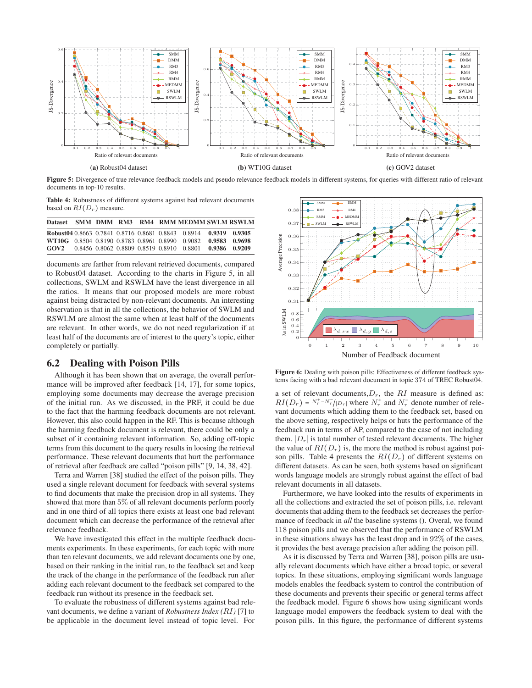

Figure 5: Divergence of true relevance feedback models and pseudo relevance feedback models in different systems, for queries with different ratio of relevant documents in top-10 results.

Table 4: Robustness of different systems against bad relevant documents based on  $RI(D_r)$  measure.

| <b>Dataset</b>                                  | SMM DMM RM3 |  | RM4 RMM MEDMM SWLM RSWLM                                                |               |
|-------------------------------------------------|-------------|--|-------------------------------------------------------------------------|---------------|
|                                                 |             |  | <b>Robust04</b> 0.8663 0.7841 0.8716 0.8681 0.8843 0.8914 0.9319 0.9305 |               |
| WT10G 0.8504 0.8190 0.8783 0.8961 0.8990 0.9082 |             |  |                                                                         | 0.9583 0.9698 |
| GOV <sub>2</sub>                                |             |  | 0.8456 0.8062 0.8809 0.8519 0.8910 0.8801                               | 0.9386 0.9209 |

documents are farther from relevant retrieved documents, compared to Robust04 dataset. According to the charts in Figure 5, in all collections, SWLM and RSWLM have the least divergence in all the ratios. It means that our proposed models are more robust against being distracted by non-relevant documents. An interesting observation is that in all the collections, the behavior of SWLM and RSWLM are almost the same when at least half of the documents are relevant. In other words, we do not need regularization if at least half of the documents are of interest to the query's topic, either completely or partially.

## 6.2 Dealing with Poison Pills

Although it has been shown that on average, the overall performance will be improved after feedback [14, 17], for some topics, employing some documents may decrease the average precision of the initial run. As we discussed, in the PRF, it could be due to the fact that the harming feedback documents are not relevant. However, this also could happen in the RF. This is because although the harming feedback document is relevant, there could be only a subset of it containing relevant information. So, adding off-topic terms from this document to the query results in loosing the retrieval performance. These relevant documents that hurt the performance of retrieval after feedback are called "poison pills" [9, 14, 38, 42].

Terra and Warren [38] studied the effect of the poison pills. They used a single relevant document for feedback with several systems to find documents that make the precision drop in all systems. They showed that more than 5% of all relevant documents perform poorly and in one third of all topics there exists at least one bad relevant document which can decrease the performance of the retrieval after relevance feedback.

We have investigated this effect in the multiple feedback documents experiments. In these experiments, for each topic with more than ten relevant documents, we add relevant documents one by one, based on their ranking in the initial run, to the feedback set and keep the track of the change in the performance of the feedback run after adding each relevant document to the feedback set compared to the feedback run without its presence in the feedback set.

To evaluate the robustness of different systems against bad relevant documents, we define a variant of *Robustness Index (*RI*)* [7] to be applicable in the document level instead of topic level. For



Figure 6: Dealing with poison pills: Effectiveness of different feedback systems facing with a bad relevant document in topic 374 of TREC Robust04.

a set of relevant documents, $D_r$ , the RI measure is defined as:  $RI(D_r) = N_r^+ - N_r^-/|D_r|$  where  $N_r^+$  and  $N_r^-$  denote number of relevant documents which adding them to the feedback set, based on the above setting, respectively helps or huts the performance of the feedback run in terms of AP, compared to the case of not including them.  $|D_r|$  is total number of tested relevant documents. The higher the value of  $RI(D<sub>r</sub>)$  is, the more the method is robust against poison pills. Table 4 presents the  $RI(D_r)$  of different systems on different datasets. As can be seen, both systems based on significant words language models are strongly robust against the effect of bad relevant documents in all datasets.

Furthermore, we have looked into the results of experiments in all the collections and extracted the set of poison pills, i.e. relevant documents that adding them to the feedback set decreases the performance of feedback in *all* the baseline systems (). Overal, we found 118 poison pills and we observed that the performance of RSWLM in these situations always has the least drop and in 92% of the cases, it provides the best average precision after adding the poison pill.

As it is discussed by Terra and Warren [38], poison pills are usually relevant documents which have either a broad topic, or several topics. In these situations, employing significant words language models enables the feedback system to control the contribution of these documents and prevents their specific or general terms affect the feedback model. Figure 6 shows how using significant words language model empowers the feedback system to deal with the poison pills. In this figure, the performance of different systems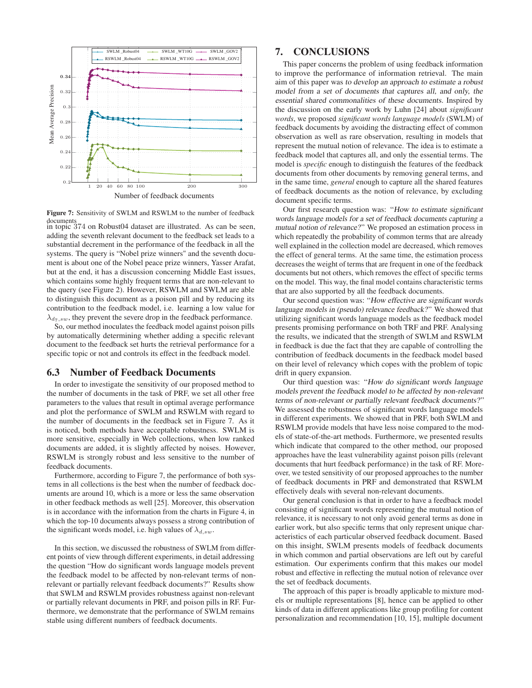

Figure 7: Sensitivity of SWLM and RSWLM to the number of feedback documents

in topic 374 on Robust04 dataset are illustrated. As can be seen, adding the seventh relevant document to the feedback set leads to a substantial decrement in the performance of the feedback in all the systems. The query is "Nobel prize winners" and the seventh document is about one of the Nobel peace prize winners, Yasser Arafat, but at the end, it has a discussion concerning Middle East issues, which contains some highly frequent terms that are non-relevant to the query (see Figure 2). However, RSWLM and SWLM are able to distinguish this document as a poison pill and by reducing its contribution to the feedback model, i.e. learning a low value for  $\lambda_{d_7,sw}$ , they prevent the severe drop in the feedback performance.

So, our method inoculates the feedback model against poison pills by automatically determining whether adding a specific relevant document to the feedback set hurts the retrieval performance for a specific topic or not and controls its effect in the feedback model.

## 6.3 Number of Feedback Documents

In order to investigate the sensitivity of our proposed method to the number of documents in the task of PRF, we set all other free parameters to the values that result in optimal average performance and plot the performance of SWLM and RSWLM with regard to the number of documents in the feedback set in Figure 7. As it is noticed, both methods have acceptable robustness. SWLM is more sensitive, especially in Web collections, when low ranked documents are added, it is slightly affected by noises. However, RSWLM is strongly robust and less sensitive to the number of feedback documents.

Furthermore, according to Figure 7, the performance of both systems in all collections is the best when the number of feedback documents are around 10, which is a more or less the same observation in other feedback methods as well [25]. Moreover, this observation is in accordance with the information from the charts in Figure 4, in which the top-10 documents always possess a strong contribution of the significant words model, i.e. high values of  $\lambda_{d,sw}$ .

In this section, we discussed the robustness of SWLM from different points of view through different experiments, in detail addressing the question "How do significant words language models prevent the feedback model to be affected by non-relevant terms of nonrelevant or partially relevant feedback documents?" Results show that SWLM and RSWLM provides robustness against non-relevant or partially relevant documents in PRF, and poison pills in RF. Furthermore, we demonstrate that the performance of SWLM remains stable using different numbers of feedback documents.

# 7. CONCLUSIONS

This paper concerns the problem of using feedback information to improve the performance of information retrieval. The main aim of this paper was *to develop an approach to estimate a robust model from a set of documents that captures all, and only, the essential shared commonalities of these documents.* Inspired by the discussion on the early work by Luhn [24] about *significant words*, we proposed *significant words language models* (SWLM) of feedback documents by avoiding the distracting effect of common observation as well as rare observation, resulting in models that represent the mutual notion of relevance. The idea is to estimate a feedback model that captures all, and only the essential terms. The model is *specific* enough to distinguish the features of the feedback documents from other documents by removing general terms, and in the same time, *general* enough to capture all the shared features of feedback documents as the notion of relevance, by excluding document specific terms.

Our first research question was: "*How to estimate significant words language models for a set of feedback documents capturing a mutual notion of relevance?* " We proposed an estimation process in which repeatedly the probability of common terms that are already well explained in the collection model are decreased, which removes the effect of general terms. At the same time, the estimation process decreases the weight of terms that are frequent in one of the feedback documents but not others, which removes the effect of specific terms on the model. This way, the final model contains characteristic terms that are also supported by all the feedback documents.

Our second question was: "*How effective are significant words language models in (pseudo) relevance feedback?* " We showed that utilizing significant words language models as the feedback model presents promising performance on both TRF and PRF. Analysing the results, we indicated that the strength of SWLM and RSWLM in feedback is due the fact that they are capable of controlling the contribution of feedback documents in the feedback model based on their level of relevancy which copes with the problem of topic drift in query expansion.

Our third question was: "*How do significant words language models prevent the feedback model to be affected by non-relevant terms of non-relevant or partially relevant feedback documents?*" We assessed the robustness of significant words language models in different experiments. We showed that in PRF, both SWLM and RSWLM provide models that have less noise compared to the models of state-of-the-art methods. Furthermore, we presented results which indicate that compared to the other method, our proposed approaches have the least vulnerability against poison pills (relevant documents that hurt feedback performance) in the task of RF. Moreover, we tested sensitivity of our proposed approaches to the number of feedback documents in PRF and demonstrated that RSWLM effectively deals with several non-relevant documents.

Our general conclusion is that in order to have a feedback model consisting of significant words representing the mutual notion of relevance, it is necessary to not only avoid general terms as done in earlier work, but also specific terms that only represent unique characteristics of each particular observed feedback document. Based on this insight, SWLM presents models of feedback documents in which common and partial observations are left out by careful estimation. Our experiments confirm that this makes our model robust and effective in reflecting the mutual notion of relevance over the set of feedback documents.

The approach of this paper is broadly applicable to mixture models or multiple representations [8], hence can be applied to other kinds of data in different applications like group profiling for content personalization and recommendation [10, 15], multiple document